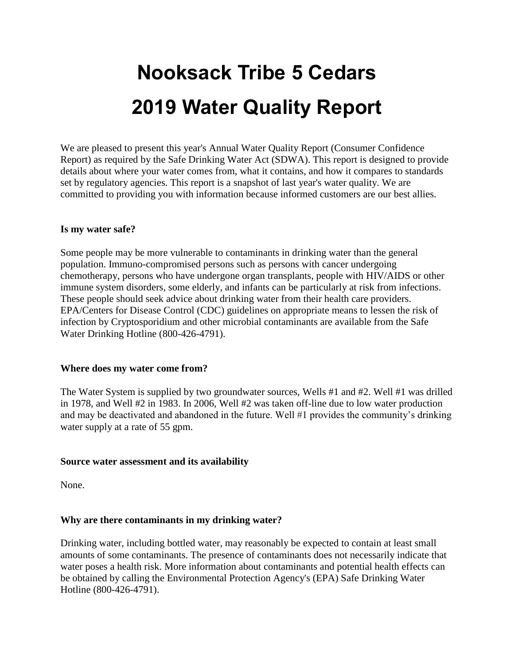# **Nooksack Tribe 5 Cedars 2019 Water Quality Report**

We are pleased to present this year's Annual Water Quality Report (Consumer Confidence Report) as required by the Safe Drinking Water Act (SDWA). This report is designed to provide details about where your water comes from, what it contains, and how it compares to standards set by regulatory agencies. This report is a snapshot of last year's water quality. We are committed to providing you with information because informed customers are our best allies.

#### **Is my water safe?**

Some people may be more vulnerable to contaminants in drinking water than the general population. Immuno-compromised persons such as persons with cancer undergoing chemotherapy, persons who have undergone organ transplants, people with HIV/AIDS or other immune system disorders, some elderly, and infants can be particularly at risk from infections. These people should seek advice about drinking water from their health care providers. EPA/Centers for Disease Control (CDC) guidelines on appropriate means to lessen the risk of infection by Cryptosporidium and other microbial contaminants are available from the Safe Water Drinking Hotline (800-426-4791).

#### **Where does my water come from?**

The Water System is supplied by two groundwater sources, Wells #1 and #2. Well #1 was drilled in 1978, and Well #2 in 1983. In 2006, Well #2 was taken off-line due to low water production and may be deactivated and abandoned in the future. Well #1 provides the community's drinking water supply at a rate of 55 gpm.

#### **Source water assessment and its availability**

None.

#### **Why are there contaminants in my drinking water?**

Drinking water, including bottled water, may reasonably be expected to contain at least small amounts of some contaminants. The presence of contaminants does not necessarily indicate that water poses a health risk. More information about contaminants and potential health effects can be obtained by calling the Environmental Protection Agency's (EPA) Safe Drinking Water Hotline (800-426-4791).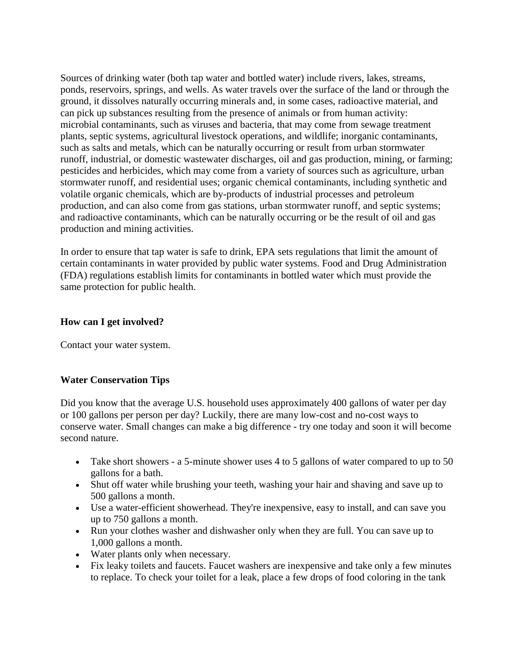Sources of drinking water (both tap water and bottled water) include rivers, lakes, streams, ponds, reservoirs, springs, and wells. As water travels over the surface of the land or through the ground, it dissolves naturally occurring minerals and, in some cases, radioactive material, and can pick up substances resulting from the presence of animals or from human activity: microbial contaminants, such as viruses and bacteria, that may come from sewage treatment plants, septic systems, agricultural livestock operations, and wildlife; inorganic contaminants, such as salts and metals, which can be naturally occurring or result from urban stormwater runoff, industrial, or domestic wastewater discharges, oil and gas production, mining, or farming; pesticides and herbicides, which may come from a variety of sources such as agriculture, urban stormwater runoff, and residential uses; organic chemical contaminants, including synthetic and volatile organic chemicals, which are by-products of industrial processes and petroleum production, and can also come from gas stations, urban stormwater runoff, and septic systems; and radioactive contaminants, which can be naturally occurring or be the result of oil and gas production and mining activities.

In order to ensure that tap water is safe to drink, EPA sets regulations that limit the amount of certain contaminants in water provided by public water systems. Food and Drug Administration (FDA) regulations establish limits for contaminants in bottled water which must provide the same protection for public health.

#### **How can I get involved?**

Contact your water system.

#### **Water Conservation Tips**

Did you know that the average U.S. household uses approximately 400 gallons of water per day or 100 gallons per person per day? Luckily, there are many low-cost and no-cost ways to conserve water. Small changes can make a big difference - try one today and soon it will become second nature.

- Take short showers a 5-minute shower uses 4 to 5 gallons of water compared to up to 50 gallons for a bath.
- Shut off water while brushing your teeth, washing your hair and shaving and save up to 500 gallons a month.
- Use a water-efficient showerhead. They're inexpensive, easy to install, and can save you up to 750 gallons a month.
- Run your clothes washer and dishwasher only when they are full. You can save up to 1,000 gallons a month.
- Water plants only when necessary.
- Fix leaky toilets and faucets. Faucet washers are inexpensive and take only a few minutes to replace. To check your toilet for a leak, place a few drops of food coloring in the tank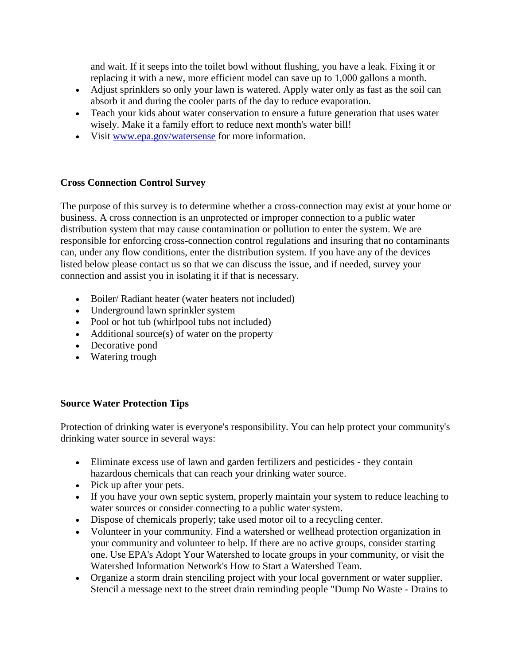and wait. If it seeps into the toilet bowl without flushing, you have a leak. Fixing it or replacing it with a new, more efficient model can save up to 1,000 gallons a month.

- Adjust sprinklers so only your lawn is watered. Apply water only as fast as the soil can absorb it and during the cooler parts of the day to reduce evaporation.
- Teach your kids about water conservation to ensure a future generation that uses water wisely. Make it a family effort to reduce next month's water bill!
- Visit [www.epa.gov/watersense](http://www.epa.gov/watersense) for more information.

#### **Cross Connection Control Survey**

The purpose of this survey is to determine whether a cross-connection may exist at your home or business. A cross connection is an unprotected or improper connection to a public water distribution system that may cause contamination or pollution to enter the system. We are responsible for enforcing cross-connection control regulations and insuring that no contaminants can, under any flow conditions, enter the distribution system. If you have any of the devices listed below please contact us so that we can discuss the issue, and if needed, survey your connection and assist you in isolating it if that is necessary.

- Boiler/ Radiant heater (water heaters not included)
- Underground lawn sprinkler system
- Pool or hot tub (whirlpool tubs not included)
- Additional source(s) of water on the property
- Decorative pond
- Watering trough

#### **Source Water Protection Tips**

Protection of drinking water is everyone's responsibility. You can help protect your community's drinking water source in several ways:

- Eliminate excess use of lawn and garden fertilizers and pesticides they contain hazardous chemicals that can reach your drinking water source.
- Pick up after your pets.
- If you have your own septic system, properly maintain your system to reduce leaching to water sources or consider connecting to a public water system.
- Dispose of chemicals properly; take used motor oil to a recycling center.
- Volunteer in your community. Find a watershed or wellhead protection organization in your community and volunteer to help. If there are no active groups, consider starting one. Use EPA's Adopt Your Watershed to locate groups in your community, or visit the Watershed Information Network's How to Start a Watershed Team.
- Organize a storm drain stenciling project with your local government or water supplier. Stencil a message next to the street drain reminding people "Dump No Waste - Drains to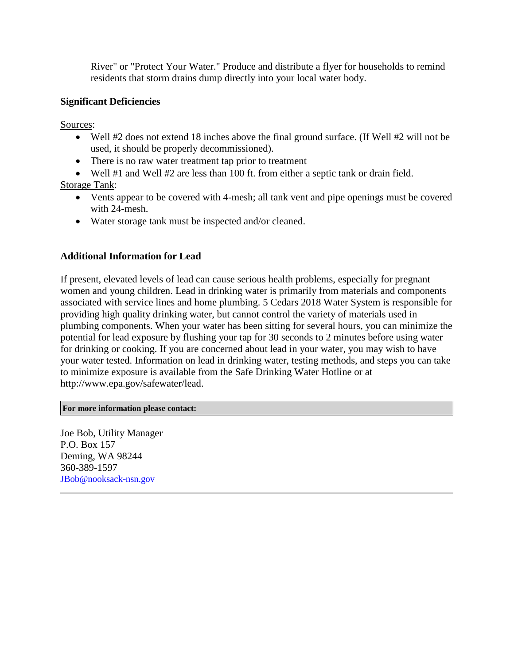River" or "Protect Your Water." Produce and distribute a flyer for households to remind residents that storm drains dump directly into your local water body.

#### **Significant Deficiencies**

Sources:

- Well #2 does not extend 18 inches above the final ground surface. (If Well #2 will not be used, it should be properly decommissioned).
- There is no raw water treatment tap prior to treatment
- Well #1 and Well #2 are less than 100 ft. from either a septic tank or drain field.

Storage Tank:

- Vents appear to be covered with 4-mesh; all tank vent and pipe openings must be covered with 24-mesh.
- Water storage tank must be inspected and/or cleaned.

#### **Additional Information for Lead**

If present, elevated levels of lead can cause serious health problems, especially for pregnant women and young children. Lead in drinking water is primarily from materials and components associated with service lines and home plumbing. 5 Cedars 2018 Water System is responsible for providing high quality drinking water, but cannot control the variety of materials used in plumbing components. When your water has been sitting for several hours, you can minimize the potential for lead exposure by flushing your tap for 30 seconds to 2 minutes before using water for drinking or cooking. If you are concerned about lead in your water, you may wish to have your water tested. Information on lead in drinking water, testing methods, and steps you can take to minimize exposure is available from the Safe Drinking Water Hotline or at http://www.epa.gov/safewater/lead.

**For more information please contact:**

Joe Bob, Utility Manager P.O. Box 157 Deming, WA 98244 360-389-1597 [JBob@nooksack-nsn.gov](mailto:JBob@nooksack-nsn.gov)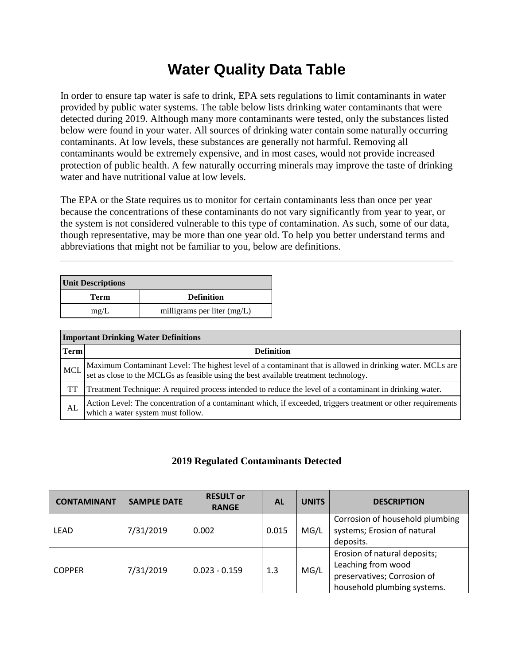## **Water Quality Data Table**

In order to ensure tap water is safe to drink, EPA sets regulations to limit contaminants in water provided by public water systems. The table below lists drinking water contaminants that were detected during 2019. Although many more contaminants were tested, only the substances listed below were found in your water. All sources of drinking water contain some naturally occurring contaminants. At low levels, these substances are generally not harmful. Removing all contaminants would be extremely expensive, and in most cases, would not provide increased protection of public health. A few naturally occurring minerals may improve the taste of drinking water and have nutritional value at low levels.

The EPA or the State requires us to monitor for certain contaminants less than once per year because the concentrations of these contaminants do not vary significantly from year to year, or the system is not considered vulnerable to this type of contamination. As such, some of our data, though representative, may be more than one year old. To help you better understand terms and abbreviations that might not be familiar to you, below are definitions.

| <b>Unit Descriptions</b> |                               |  |  |  |
|--------------------------|-------------------------------|--|--|--|
| Term                     | <b>Definition</b>             |  |  |  |
| mg/L                     | milligrams per liter $(mg/L)$ |  |  |  |

| <b>Important Drinking Water Definitions</b> |                                                                                                                                                                                                |  |  |  |
|---------------------------------------------|------------------------------------------------------------------------------------------------------------------------------------------------------------------------------------------------|--|--|--|
| <b>Term</b>                                 | <b>Definition</b>                                                                                                                                                                              |  |  |  |
| <b>MCL</b>                                  | Maximum Contaminant Level: The highest level of a contaminant that is allowed in drinking water. MCLs are set as close to the MCLGs as feasible using the best available treatment technology. |  |  |  |
| TT                                          | Treatment Technique: A required process intended to reduce the level of a contaminant in drinking water.                                                                                       |  |  |  |
| AL                                          | Action Level: The concentration of a contaminant which, if exceeded, triggers treatment or other requirements<br>which a water system must follow.                                             |  |  |  |

#### **2019 Regulated Contaminants Detected**

| <b>CONTAMINANT</b> | <b>SAMPLE DATE</b> | <b>RESULT or</b><br><b>RANGE</b> | AL    | <b>UNITS</b> | <b>DESCRIPTION</b>                                                                                               |
|--------------------|--------------------|----------------------------------|-------|--------------|------------------------------------------------------------------------------------------------------------------|
| <b>LEAD</b>        | 7/31/2019          | 0.002                            | 0.015 | MG/L         | Corrosion of household plumbing<br>systems; Erosion of natural<br>deposits.                                      |
| <b>COPPER</b>      | 7/31/2019          | $0.023 - 0.159$                  | 1.3   | MG/L         | Erosion of natural deposits;<br>Leaching from wood<br>preservatives; Corrosion of<br>household plumbing systems. |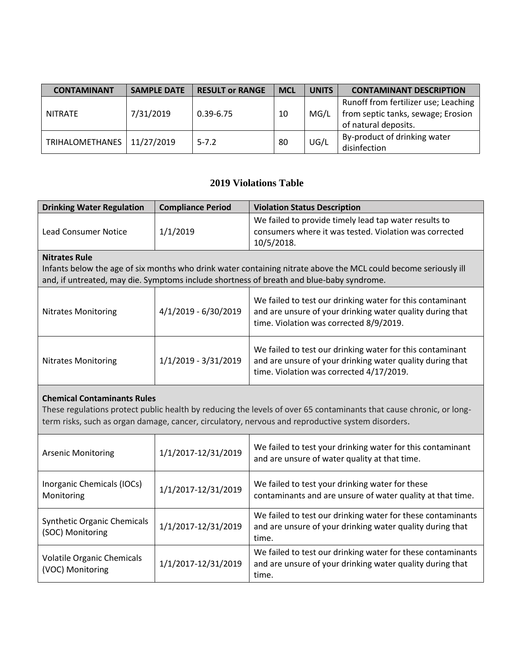| <b>CONTAMINANT</b>     | <b>SAMPLE DATE</b> | <b>RESULT or RANGE</b> | <b>MCL</b> | <b>UNITS</b> | <b>CONTAMINANT DESCRIPTION</b>                                                                     |
|------------------------|--------------------|------------------------|------------|--------------|----------------------------------------------------------------------------------------------------|
| NITRATE                | 7/31/2019          | $0.39 - 6.75$          | 10         | MG/L         | Runoff from fertilizer use; Leaching<br>from septic tanks, sewage; Erosion<br>of natural deposits. |
| <b>TRIHALOMETHANES</b> | 11/27/2019         | $5 - 7.2$              | 80         | UG/L         | By-product of drinking water<br>disinfection                                                       |

### **2019 Violations Table**

| <b>Drinking Water Regulation</b>                                                                                                                                                                                                                               | <b>Compliance Period</b> | <b>Violation Status Description</b>                                                                                                                                |  |  |  |
|----------------------------------------------------------------------------------------------------------------------------------------------------------------------------------------------------------------------------------------------------------------|--------------------------|--------------------------------------------------------------------------------------------------------------------------------------------------------------------|--|--|--|
| <b>Lead Consumer Notice</b>                                                                                                                                                                                                                                    | 1/1/2019                 | We failed to provide timely lead tap water results to<br>consumers where it was tested. Violation was corrected<br>10/5/2018.                                      |  |  |  |
| <b>Nitrates Rule</b>                                                                                                                                                                                                                                           |                          |                                                                                                                                                                    |  |  |  |
| Infants below the age of six months who drink water containing nitrate above the MCL could become seriously ill<br>and, if untreated, may die. Symptoms include shortness of breath and blue-baby syndrome.                                                    |                          |                                                                                                                                                                    |  |  |  |
| <b>Nitrates Monitoring</b>                                                                                                                                                                                                                                     | 4/1/2019 - 6/30/2019     | We failed to test our drinking water for this contaminant<br>and are unsure of your drinking water quality during that<br>time. Violation was corrected 8/9/2019.  |  |  |  |
| 1/1/2019 - 3/31/2019<br><b>Nitrates Monitoring</b>                                                                                                                                                                                                             |                          | We failed to test our drinking water for this contaminant<br>and are unsure of your drinking water quality during that<br>time. Violation was corrected 4/17/2019. |  |  |  |
| <b>Chemical Contaminants Rules</b><br>These regulations protect public health by reducing the levels of over 65 contaminants that cause chronic, or long-<br>term risks, such as organ damage, cancer, circulatory, nervous and reproductive system disorders. |                          |                                                                                                                                                                    |  |  |  |

| <b>Arsenic Monitoring</b>                              | 1/1/2017-12/31/2019 | We failed to test your drinking water for this contaminant<br>and are unsure of water quality at that time.                       |
|--------------------------------------------------------|---------------------|-----------------------------------------------------------------------------------------------------------------------------------|
| Inorganic Chemicals (IOCs)<br>Monitoring               | 1/1/2017-12/31/2019 | We failed to test your drinking water for these<br>contaminants and are unsure of water quality at that time.                     |
| <b>Synthetic Organic Chemicals</b><br>(SOC) Monitoring | 1/1/2017-12/31/2019 | We failed to test our drinking water for these contaminants<br>and are unsure of your drinking water quality during that<br>time. |
| <b>Volatile Organic Chemicals</b><br>(VOC) Monitoring  | 1/1/2017-12/31/2019 | We failed to test our drinking water for these contaminants<br>and are unsure of your drinking water quality during that<br>time. |